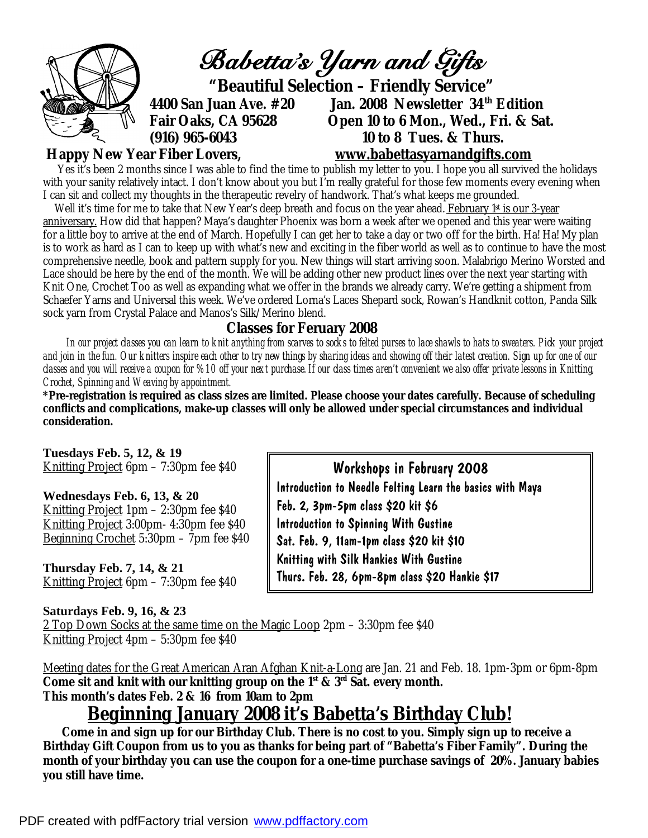

## **Happy New Year Fiber Lovers, [www.babettasyarnandgifts.com](http://www.babettasyarnandgifts.com)**

Yes it's been 2 months since I was able to find the time to publish my letter to you. I hope you all survived the holidays with your sanity relatively intact. I don't know about you but I'm really grateful for those few moments every evening when I can sit and collect my thoughts in the therapeutic revelry of handwork. That's what keeps me grounded.

Well it's time for me to take that New Year's deep breath and focus on the year ahead. February 1st is our 3-year anniversary. How did that happen? Maya's daughter Phoenix was born a week after we opened and this year were waiting for a little boy to arrive at the end of March. Hopefully I can get her to take a day or two off for the birth. Ha! Ha! My plan is to work as hard as I can to keep up with what's new and exciting in the fiber world as well as to continue to have the most comprehensive needle, book and pattern supply for you. New things will start arriving soon. Malabrigo Merino Worsted and Lace should be here by the end of the month. We will be adding other new product lines over the next year starting with Knit One, Crochet Too as well as expanding what we offer in the brands we already carry. We're getting a shipment from Schaefer Yarns and Universal this week. We've ordered Lorna's Laces Shepard sock, Rowan's Handknit cotton, Panda Silk sock yarn from Crystal Palace and Manos's Silk/Merino blend.

## **Classes for Feruary 2008**

 *In our project classes you can learn to knit anything from scarves to socks to felted purses to lace shawls to hats to sweaters. Pick your project and join in the fun. Our knitters inspire each other to try new things by sharing ideas and showing off their latest creation. Sign up for one of our classes and you will receive a coupon for %10 off your next purchase. If our class times aren't convenient we also offer private lessons in Knitting, Crochet, Spinning and Weaving by appointment.* 

**\*Pre-registration is required as class sizes are limited. Please choose your dates carefully. Because of scheduling conflicts and complications, make-up classes will only be allowed under special circumstances and individual consideration.** 

> Feb. 2, 3pm-5pm class \$20 kit \$6 Introduction to Spinning With Gustine Sat. Feb. 9, 11am-1pm class \$20 kit \$10 Knitting with Silk Hankies With Gustine

 Workshops in February 2008 Introduction to Needle Felting Learn the basics with Maya

**Tuesdays Feb. 5, 12, & 19**  Knitting Project 6pm – 7:30pm fee \$40

**Wednesdays Feb. 6, 13, & 20**  Knitting Project 1pm – 2:30pm fee \$40 Knitting Project 3:00pm- 4:30pm fee \$40 Beginning Crochet 5:30pm – 7pm fee \$40

**Thursday Feb. 7, 14, & 21**  Knitting Project 6pm – 7:30pm fee \$40

**Saturdays Feb. 9, 16, & 23**  2 Top Down Socks at the same time on the Magic Loop 2pm – 3:30pm fee \$40 Knitting Project 4pm – 5:30pm fee \$40 Thurs. Feb. 28, 6pm-8pm class \$20 Hankie \$17

Meeting dates for the Great American Aran Afghan Knit-a-Long are Jan. 21 and Feb. 18. 1pm-3pm or 6pm-8pm **Come sit and knit with our knitting group on the 1st & 3rd Sat. every month. This month's dates Feb. 2 & 16 from 10am to 2pm** 

## **Beginning January 2008 it's Babetta's Birthday Club!**

 **Come in and sign up for our Birthday Club. There is no cost to you. Simply sign up to receive a**  *Birthday Gift Coupon* **from us to you as thanks for being part of "Babetta's Fiber Family". During the month of your birthday you can use the coupon for a one-time purchase savings of 20%. January babies you still have time.**